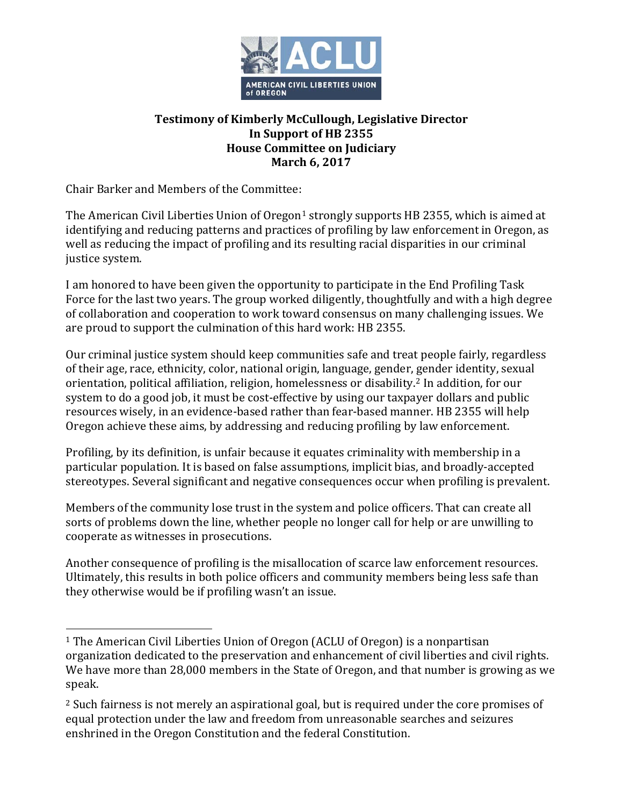

## **Testimony of Kimberly McCullough, Legislative Director In Support of HB 2355 House Committee on Judiciary March 6, 2017**

Chair Barker and Members of the Committee:

-

The American Civil Liberties Union of Oregon<sup>[1](#page-0-0)</sup> strongly supports HB 2355, which is aimed at identifying and reducing patterns and practices of profiling by law enforcement in Oregon, as well as reducing the impact of profiling and its resulting racial disparities in our criminal justice system.

I am honored to have been given the opportunity to participate in the End Profiling Task Force for the last two years. The group worked diligently, thoughtfully and with a high degree of collaboration and cooperation to work toward consensus on many challenging issues. We are proud to support the culmination of this hard work: HB 2355.

Our criminal justice system should keep communities safe and treat people fairly, regardless of their age, race, ethnicity, color, national origin, language, gender, [g](#page-0-1)ender identity, sexual orientation, political affiliation, religion, homelessness or disability. <sup>2</sup> In addition, for our system to do a good job, it must be cost-effective by using our taxpayer dollars and public resources wisely, in an evidence-based rather than fear-based manner. HB 2355 will help Oregon achieve these aims, by addressing and reducing profiling by law enforcement.

Profiling, by its definition, is unfair because it equates criminality with membership in a particular population. It is based on false assumptions, implicit bias, and broadly-accepted stereotypes. Several significant and negative consequences occur when profiling is prevalent.

Members of the community lose trust in the system and police officers. That can create all sorts of problems down the line, whether people no longer call for help or are unwilling to cooperate as witnesses in prosecutions.

Another consequence of profiling is the misallocation of scarce law enforcement resources. Ultimately, this results in both police officers and community members being less safe than they otherwise would be if profiling wasn't an issue.

<span id="page-0-0"></span><sup>1</sup> The American Civil Liberties Union of Oregon (ACLU of Oregon) is a nonpartisan organization dedicated to the preservation and enhancement of civil liberties and civil rights. We have more than 28,000 members in the State of Oregon, and that number is growing as we speak.

<span id="page-0-1"></span><sup>&</sup>lt;sup>2</sup> Such fairness is not merely an aspirational goal, but is required under the core promises of equal protection under the law and freedom from unreasonable searches and seizures enshrined in the Oregon Constitution and the federal Constitution.